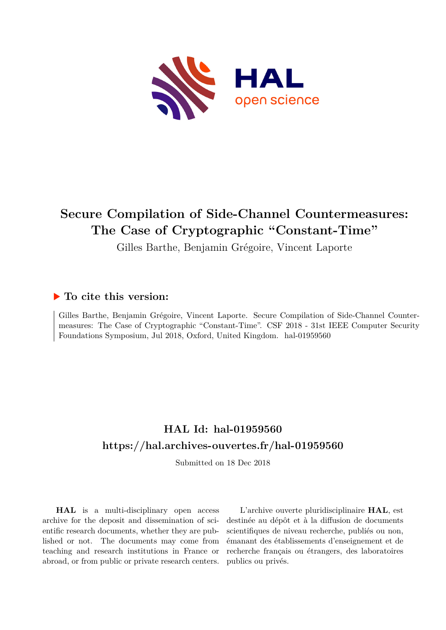

# **Secure Compilation of Side-Channel Countermeasures: The Case of Cryptographic "Constant-Time"**

Gilles Barthe, Benjamin Grégoire, Vincent Laporte

# **To cite this version:**

Gilles Barthe, Benjamin Grégoire, Vincent Laporte. Secure Compilation of Side-Channel Countermeasures: The Case of Cryptographic "Constant-Time". CSF 2018 - 31st IEEE Computer Security Foundations Symposium, Jul 2018, Oxford, United Kingdom. hal-01959560

# **HAL Id: hal-01959560 <https://hal.archives-ouvertes.fr/hal-01959560>**

Submitted on 18 Dec 2018

**HAL** is a multi-disciplinary open access archive for the deposit and dissemination of scientific research documents, whether they are published or not. The documents may come from teaching and research institutions in France or abroad, or from public or private research centers.

L'archive ouverte pluridisciplinaire **HAL**, est destinée au dépôt et à la diffusion de documents scientifiques de niveau recherche, publiés ou non, émanant des établissements d'enseignement et de recherche français ou étrangers, des laboratoires publics ou privés.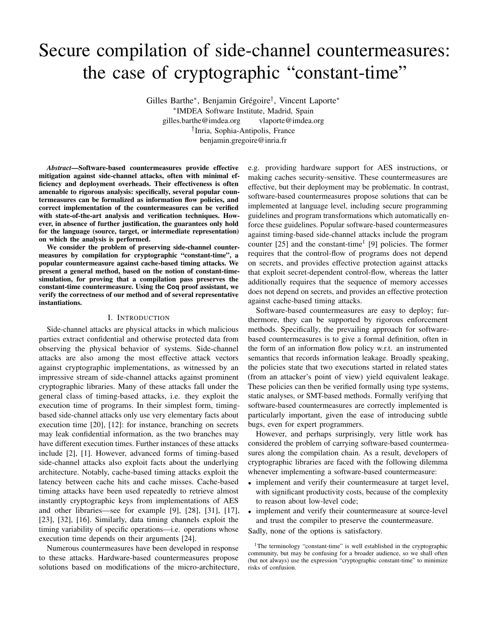# Secure compilation of side-channel countermeasures: the case of cryptographic "constant-time"

Gilles Barthe∗ , Benjamin Grégoire† , Vincent Laporte∗ ∗ IMDEA Software Institute, Madrid, Spain gilles.barthe@imdea.org vlaporte@imdea.org † Inria, Sophia-Antipolis, France benjamin.gregoire@inria.fr

*Abstract*—Software-based countermeasures provide effective mitigation against side-channel attacks, often with minimal efficiency and deployment overheads. Their effectiveness is often amenable to rigorous analysis: specifically, several popular countermeasures can be formalized as information flow policies, and correct implementation of the countermeasures can be verified with state-of-the-art analysis and verification techniques. However, in absence of further justification, the guarantees only hold for the language (source, target, or intermediate representation) on which the analysis is performed.

We consider the problem of preserving side-channel countermeasures by compilation for cryptographic "constant-time", a popular countermeasure against cache-based timing attacks. We present a general method, based on the notion of constant-timesimulation, for proving that a compilation pass preserves the constant-time countermeasure. Using the **Coq** proof assistant, we verify the correctness of our method and of several representative instantiations.

# I. INTRODUCTION

Side-channel attacks are physical attacks in which malicious parties extract confidential and otherwise protected data from observing the physical behavior of systems. Side-channel attacks are also among the most effective attack vectors against cryptographic implementations, as witnessed by an impressive stream of side-channel attacks against prominent cryptographic libraries. Many of these attacks fall under the general class of timing-based attacks, i.e. they exploit the execution time of programs. In their simplest form, timingbased side-channel attacks only use very elementary facts about execution time [20], [12]: for instance, branching on secrets may leak confidential information, as the two branches may have different execution times. Further instances of these attacks include [2], [1]. However, advanced forms of timing-based side-channel attacks also exploit facts about the underlying architecture. Notably, cache-based timing attacks exploit the latency between cache hits and cache misses. Cache-based timing attacks have been used repeatedly to retrieve almost instantly cryptographic keys from implementations of AES and other libraries—see for example [9], [28], [31], [17], [23], [32], [16]. Similarly, data timing channels exploit the timing variability of specific operations—i.e. operations whose execution time depends on their arguments [24].

Numerous countermeasures have been developed in response to these attacks. Hardware-based countermeasures propose solutions based on modifications of the micro-architecture, e.g. providing hardware support for AES instructions, or making caches security-sensitive. These countermeasures are effective, but their deployment may be problematic. In contrast, software-based countermeasures propose solutions that can be implemented at language level, including secure programming guidelines and program transformations which automatically enforce these guidelines. Popular software-based countermeasures against timing-based side-channel attacks include the program counter  $[25]$  and the constant-time<sup>1</sup> [9] policies. The former requires that the control-flow of programs does not depend on secrets, and provides effective protection against attacks that exploit secret-dependent control-flow, whereas the latter additionally requires that the sequence of memory accesses does not depend on secrets, and provides an effective protection against cache-based timing attacks.

Software-based countermeasures are easy to deploy; furthermore, they can be supported by rigorous enforcement methods. Specifically, the prevailing approach for softwarebased countermeasures is to give a formal definition, often in the form of an information flow policy w.r.t. an instrumented semantics that records information leakage. Broadly speaking, the policies state that two executions started in related states (from an attacker's point of view) yield equivalent leakage. These policies can then be verified formally using type systems, static analyses, or SMT-based methods. Formally verifying that software-based countermeasures are correctly implemented is particularly important, given the ease of introducing subtle bugs, even for expert programmers.

However, and perhaps surprisingly, very little work has considered the problem of carrying software-based countermeasures along the compilation chain. As a result, developers of cryptographic libraries are faced with the following dilemma whenever implementing a software-based countermeasure:

- implement and verify their countermeasure at target level, with significant productivity costs, because of the complexity to reason about low-level code;
- implement and verify their countermeasure at source-level and trust the compiler to preserve the countermeasure.

Sadly, none of the options is satisfactory.

<sup>&</sup>lt;sup>1</sup>The terminology "constant-time" is well established in the cryptographic community, but may be confusing for a broader audience, so we shall often (but not always) use the expression "cryptographic constant-time" to minimize risks of confusion.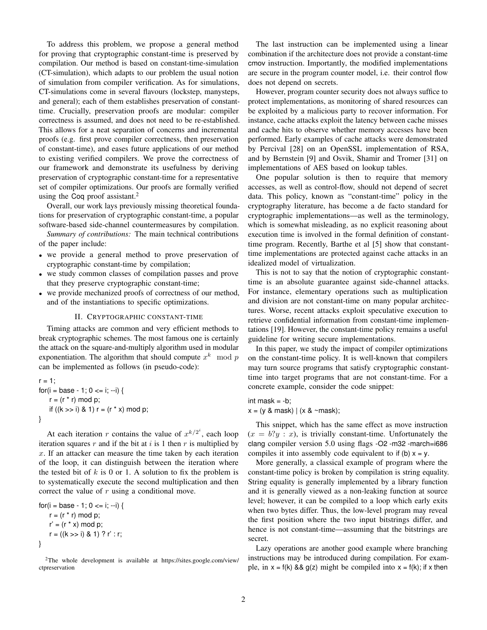To address this problem, we propose a general method for proving that cryptographic constant-time is preserved by compilation. Our method is based on constant-time-simulation (CT-simulation), which adapts to our problem the usual notion of simulation from compiler verification. As for simulations, CT-simulations come in several flavours (lockstep, manysteps, and general); each of them establishes preservation of constanttime. Crucially, preservation proofs are modular: compiler correctness is assumed, and does not need to be re-established. This allows for a neat separation of concerns and incremental proofs (e.g. first prove compiler correctness, then preservation of constant-time), and eases future applications of our method to existing verified compilers. We prove the correctness of our framework and demonstrate its usefulness by deriving preservation of cryptographic constant-time for a representative set of compiler optimizations. Our proofs are formally verified using the Coq proof assistant.<sup>2</sup>

Overall, our work lays previously missing theoretical foundations for preservation of cryptographic constant-time, a popular software-based side-channel countermeasures by compilation.

*Summary of contributions:* The main technical contributions of the paper include:

- we provide a general method to prove preservation of cryptographic constant-time by compilation;
- we study common classes of compilation passes and prove that they preserve cryptographic constant-time;
- we provide mechanized proofs of correctness of our method, and of the instantiations to specific optimizations.

#### II. CRYPTOGRAPHIC CONSTANT-TIME

Timing attacks are common and very efficient methods to break cryptographic schemes. The most famous one is certainly the attack on the square-and-multiply algorithm used in modular exponentiation. The algorithm that should compute  $x^k \mod p$ can be implemented as follows (in pseudo-code):

r = 1; for(i = base - 1; 0 <= i; --i) { r = (r \* r) mod p; if ((k >> i) & 1) r = (r \* x) mod p; }

At each iteration r contains the value of  $x^{k/2^i}$ , each loop iteration squares  $r$  and if the bit at  $i$  is 1 then  $r$  is multiplied by  $x$ . If an attacker can measure the time taken by each iteration of the loop, it can distinguish between the iteration where the tested bit of  $k$  is 0 or 1. A solution to fix the problem is to systematically execute the second multiplication and then correct the value of r using a conditional move.

for( $i = base - 1$ ;  $0 \le i$ ; --i) {  $r = (r * r) \text{ mod } p$ ;  $r' = (r * x) \text{ mod } p;$  $r = ((k \gg i) 8 1) ? r': r;$ }

<sup>2</sup>The whole development is available at https://sites.google.com/view/ ctpreservation

The last instruction can be implemented using a linear combination if the architecture does not provide a constant-time cmov instruction. Importantly, the modified implementations are secure in the program counter model, i.e. their control flow does not depend on secrets.

However, program counter security does not always suffice to protect implementations, as monitoring of shared resources can be exploited by a malicious party to recover information. For instance, cache attacks exploit the latency between cache misses and cache hits to observe whether memory accesses have been performed. Early examples of cache attacks were demonstrated by Percival [28] on an OpenSSL implementation of RSA, and by Bernstein [9] and Osvik, Shamir and Tromer [31] on implementations of AES based on lookup tables.

One popular solution is then to require that memory accesses, as well as control-flow, should not depend of secret data. This policy, known as "constant-time" policy in the cryptography literature, has become a de facto standard for cryptographic implementations—as well as the terminology, which is somewhat misleading, as no explicit reasoning about execution time is involved in the formal definition of constanttime program. Recently, Barthe et al [5] show that constanttime implementations are protected against cache attacks in an idealized model of virtualization.

This is not to say that the notion of cryptographic constanttime is an absolute guarantee against side-channel attacks. For instance, elementary operations such as multiplication and division are not constant-time on many popular architectures. Worse, recent attacks exploit speculative execution to retrieve confidential information from constant-time implementations [19]. However, the constant-time policy remains a useful guideline for writing secure implementations.

In this paper, we study the impact of compiler optimizations on the constant-time policy. It is well-known that compilers may turn source programs that satisfy cryptographic constanttime into target programs that are not constant-time. For a concrete example, consider the code snippet:

int mask  $= -b$ ;  $x = (y \& mask) \mid (x \& \sim mask);$ 

This snippet, which has the same effect as move instruction  $(x = b$ ?y : x), is trivially constant-time. Unfortunately the clang compiler version 5.0 using flags -O2 -m32 -march=i686 compiles it into assembly code equivalent to if (b)  $x = y$ .

More generally, a classical example of program where the constant-time policy is broken by compilation is string equality. String equality is generally implemented by a library function and it is generally viewed as a non-leaking function at source level; however, it can be compiled to a loop which early exits when two bytes differ. Thus, the low-level program may reveal the first position where the two input bitstrings differ, and hence is not constant-time—assuming that the bitstrings are secret.

Lazy operations are another good example where branching instructions may be introduced during compilation. For example, in  $x = f(k)$  &&  $g(z)$  might be compiled into  $x = f(k)$ ; if x then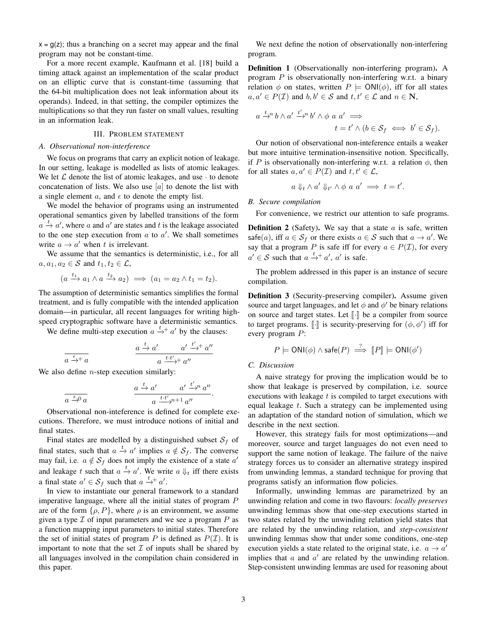$x = g(z)$ ; thus a branching on a secret may appear and the final program may not be constant-time.

For a more recent example, Kaufmann et al. [18] build a timing attack against an implementation of the scalar product on an elliptic curve that is constant-time (assuming that the 64-bit multiplication does not leak information about its operands). Indeed, in that setting, the compiler optimizes the multiplications so that they run faster on small values, resulting in an information leak.

## III. PROBLEM STATEMENT

#### *A. Observational non-interference*

We focus on programs that carry an explicit notion of leakage. In our setting, leakage is modelled as lists of atomic leakages. We let  $\mathcal L$  denote the list of atomic leakages, and use  $\cdot$  to denote concatenation of lists. We also use  $[a]$  to denote the list with a single element  $a$ , and  $\epsilon$  to denote the empty list.

We model the behavior of programs using an instrumented operational semantics given by labelled transitions of the form  $a \stackrel{t}{\rightarrow} a'$ , where a and a' are states and t is the leakage associated to the one step execution from  $a$  to  $a'$ . We shall sometimes write  $a \rightarrow a'$  when t is irrelevant.

We assume that the semantics is deterministic, i.e., for all  $a, a_1, a_2 \in \mathcal{S}$  and  $t_1, t_2 \in \mathcal{L}$ ,

$$
(a \xrightarrow{t_1} a_1 \wedge a \xrightarrow{t_2} a_2) \implies (a_1 = a_2 \wedge t_1 = t_2).
$$

The assumption of deterministic semantics simplifies the formal treatment, and is fully compatible with the intended application domain—in particular, all recent languages for writing highspeed cryptographic software have a deterministic semantics.

We define multi-step execution  $a \stackrel{t}{\rightarrow} + a'$  by the clauses:

$$
\frac{a \xrightarrow{t} a'}{a \xrightarrow{t+} a}
$$
\n
$$
\frac{a \xrightarrow{t} a'}{a \xrightarrow{t \cdot t'} a''}
$$

We also define  $n$ -step execution similarly:

$$
\frac{a \xrightarrow{t} a'}{a \xrightarrow{\epsilon} 0 a} \qquad \frac{a \xrightarrow{t} a'}{a \xrightarrow{t \cdot t'} 0^{n+1} a''}
$$

Observational non-inteference is defined for complete executions. Therefore, we must introduce notions of initial and final states.

Final states are modelled by a distinguished subset  $S_f$  of final states, such that  $a \stackrel{t}{\rightarrow} a'$  implies  $a \notin S_f$ . The converse may fail, i.e.  $a \notin S_f$  does not imply the existence of a state  $a'$ and leakage t such that  $a \stackrel{t}{\rightarrow} a'$ . We write  $a \Downarrow_t$  iff there exists a final state  $a' \in S_f$  such that  $a \stackrel{t}{\rightarrow} a'$ .

In view to instantiate our general framework to a standard imperative language, where all the initial states of program  $P$ are of the form  $\{\rho, P\}$ , where  $\rho$  is an environment, we assume given a type  $\mathcal I$  of input parameters and we see a program  $P$  as a function mapping input parameters to initial states. Therefore the set of initial states of program  $P$  is defined as  $P(\mathcal{I})$ . It is important to note that the set  $\mathcal I$  of inputs shall be shared by all languages involved in the compilation chain considered in this paper.

We next define the notion of observationally non-interfering program.

Definition 1 (Observationally non-interfering program). A program P is observationally non-interfering w.r.t. a binary relation  $\phi$  on states, written  $P \models \text{ONI}(\phi)$ , iff for all states  $a, a' \in P(\mathcal{I})$  and  $b, b' \in \mathcal{S}$  and  $t, t' \in \mathcal{L}$  and  $n \in \mathbb{N}$ ,

$$
a \stackrel{t}{\to} b \wedge a' \stackrel{t'}{\to} b' \wedge \phi \ a \ a' \implies t = t' \wedge (b \in S_f \iff b' \in S_f).
$$

Our notion of observational non-inteference entails a weaker but more intuitive termination-insensitive notion. Specifically, if P is observationally non-interfering w.r.t. a relation  $\phi$ , then for all states  $a, a' \in P(\mathcal{I})$  and  $t, t' \in \mathcal{L}$ ,

$$
a \Downarrow_t \wedge a' \Downarrow_{t'} \wedge \phi \ a \ a' \implies t = t'.
$$

*B. Secure compilation*

For convenience, we restrict our attention to safe programs.

**Definition 2** (Safety). We say that a state  $a$  is safe, written safe(*a*), iff  $a \in S_f$  or there exists  $a \in S$  such that  $a \to a'$ . We say that a program P is safe iff for every  $a \in P(\mathcal{I})$ , for every  $a' \in S$  such that  $a \stackrel{t}{\rightarrow} a'$ ,  $a'$  is safe.

The problem addressed in this paper is an instance of secure compilation.

Definition 3 (Security-preserving compiler). Assume given source and target languages, and let  $\phi$  and  $\phi'$  be binary relations on source and target states. Let  $\lbrack \cdot \rbrack$  be a compiler from source to target programs.  $[\![\cdot]\!]$  is security-preserving for  $(\phi, \phi')$  iff for every program  $P$ : every program P:

$$
P \models \mathsf{ONI}(\phi) \land \mathsf{safe}(P) \stackrel{?}{\implies} [P] \models \mathsf{ONI}(\phi')
$$

#### *C. Discussion*

 $\prime$ 

.

A naive strategy for proving the implication would be to show that leakage is preserved by compilation, i.e. source executions with leakage  $t$  is compiled to target executions with equal leakage  $t$ . Such a strategy can be implemented using an adaptation of the standard notion of simulation, which we describe in the next section.

However, this strategy fails for most optimizations—and moreover, source and target languages do not even need to support the same notion of leakage. The failure of the naive strategy forces us to consider an alternative strategy inspired from unwinding lemmas, a standard technique for proving that programs satisfy an information flow policies.

Informally, unwinding lemmas are parametrized by an unwinding relation and come in two flavours: *locally preserves* unwinding lemmas show that one-step executions started in two states related by the unwinding relation yield states that are related by the unwinding relation, and *step-consistent* unwinding lemmas show that under some conditions, one-step execution yields a state related to the original state, i.e.  $a \rightarrow a'$ implies that  $a$  and  $a'$  are related by the unwinding relation. Step-consistent unwinding lemmas are used for reasoning about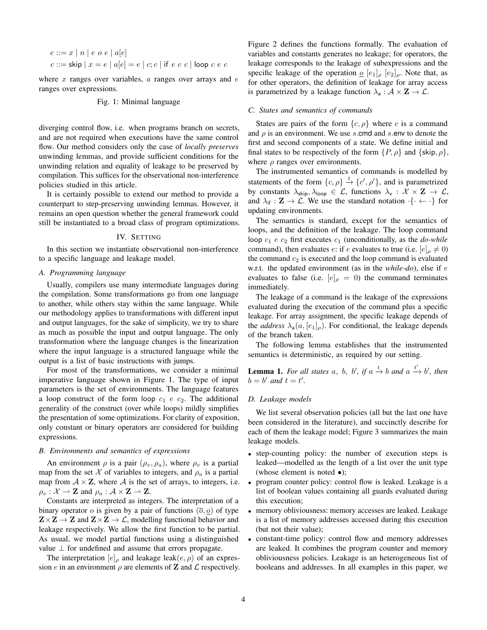$$
e ::= x | n | e o e | a[e]
$$
  

$$
c ::= \mathsf{skip} | x = e | a[e] = e | c; c | \mathsf{if} e c c | \mathsf{loop} c e c
$$

where  $x$  ranges over variables,  $a$  ranges over arrays and  $e$ ranges over expressions.

Fig. 1: Minimal language

diverging control flow, i.e. when programs branch on secrets, and are not required when executions have the same control flow. Our method considers only the case of *locally preserves* unwinding lemmas, and provide sufficient conditions for the unwinding relation and equality of leakage to be preserved by compilation. This suffices for the observational non-interference policies studied in this article.

It is certainly possible to extend our method to provide a counterpart to step-preserving unwinding lemmas. However, it remains an open question whether the general framework could still be instantiated to a broad class of program optimizations.

#### IV. SETTING

In this section we instantiate observational non-interference to a specific language and leakage model.

# *A. Programming language*

Usually, compilers use many intermediate languages during the compilation. Some transformations go from one language to another, while others stay within the same language. While our methodology applies to transformations with different input and output languages, for the sake of simplicity, we try to share as much as possible the input and output language. The only transformation where the language changes is the linearization where the input language is a structured language while the output is a list of basic instructions with jumps.

For most of the transformations, we consider a minimal imperative language shown in Figure 1. The type of input parameters is the set of environments. The language features a loop construct of the form loop  $c_1$  e  $c_2$ . The additional generality of the construct (over while loops) mildly simplifies the presentation of some optimizations. For clarity of exposition, only constant or binary operators are considered for building expressions.

## *B. Environments and semantics of expressions*

An environment  $\rho$  is a pair  $(\rho_v, \rho_a)$ , where  $\rho_v$  is a partial map from the set X of variables to integers, and  $\rho_a$  is a partial map from  $A \times Z$ , where A is the set of arrays, to integers, i.e.  $\rho_v : \mathcal{X} \to \mathbf{Z}$  and  $\rho_a : \mathcal{A} \times \mathbf{Z} \to \mathbf{Z}$ .

Constants are interpreted as integers. The interpretation of a binary operator o is given by a pair of functions  $(\overline{o}, \underline{o})$  of type  $\mathbf{Z} \times \mathbf{Z} \to \mathbf{Z}$  and  $\mathbf{Z} \times \mathbf{Z} \to \mathbf{Z}$ , modelling functional behavior and leakage respectively. We allow the first function to be partial. As usual, we model partial functions using a distinguished value  $\perp$  for undefined and assume that errors propagate.

The interpretation  $[e]_o$  and leakage leak $(e, \rho)$  of an expression e in an environment  $\rho$  are elements of **Z** and  $\mathcal{L}$  respectively. Figure 2 defines the functions formally. The evaluation of variables and constants generates no leakage; for operators, the leakage corresponds to the leakage of subexpressions and the specific leakage of the operation  $\varrho$   $[e_1]_\rho$   $[e_2]_\rho$ . Note that, as for other operators, the definition of leakage for array access is parametrized by a leakage function  $\lambda_a : A \times \mathbf{Z} \to \mathcal{L}$ .

#### *C. States and semantics of commands*

States are pairs of the form  $\{c, \rho\}$  where c is a command and  $\rho$  is an environment. We use s.cmd and s.env to denote the first and second components of a state. We define initial and final states to be respectively of the form  $\{P, \rho\}$  and  $\{\textsf{skip}, \rho\},\$ where  $\rho$  ranges over environments.

The instrumented semantics of commands is modelled by statements of the form  $\{c, \rho\} \stackrel{t}{\rightarrow} \{c', \rho'\}$ , and is parametrized by constants  $\lambda_{\text{skip}}$ ,  $\lambda_{\text{loop}} \in \mathcal{L}$ , functions  $\lambda_{\text{v}} : \mathcal{X} \times \mathbf{Z} \to \mathcal{L}$ , and  $\lambda_{if} : \mathbf{Z} \to \mathcal{L}$ . We use the standard notation  $\cdot \{\cdot \leftarrow \cdot\}$  for updating environments.

The semantics is standard, except for the semantics of loops, and the definition of the leakage. The loop command loop  $c_1$  e  $c_2$  first executes  $c_1$  (unconditionally, as the *do-while* command), then evaluates e: if e evaluates to true (i.e.  $[e]_p \neq 0$ ) the command  $c_2$  is executed and the loop command is evaluated w.r.t. the updated environment (as in the *while-do*), else if e evaluates to false (i.e.  $[e]_{\rho} = 0$ ) the command terminates immediately.

The leakage of a command is the leakage of the expressions evaluated during the execution of the command plus a specific leakage. For array assignment, the specific leakage depends of the *address*  $\lambda_a(a, [e_1]_\rho)$ . For conditional, the leakage depends of the branch taken.

The following lemma establishes that the instrumented semantics is deterministic, as required by our setting.

**Lemma 1.** For all states a, b, b', if  $a \xrightarrow{t} b$  and  $a \xrightarrow{t'} b'$ , then  $b = b'$  and  $t = t'$ .

# *D. Leakage models*

We list several observation policies (all but the last one have been considered in the literature), and succinctly describe for each of them the leakage model; Figure 3 summarizes the main leakage models.

- step-counting policy: the number of execution steps is leaked—modelled as the length of a list over the unit type (whose element is noted  $\bullet$ );
- program counter policy: control flow is leaked. Leakage is a list of boolean values containing all guards evaluated during this execution;
- memory obliviousness: memory accesses are leaked. Leakage is a list of memory addresses accessed during this execution (but not their value);
- constant-time policy: control flow and memory addresses are leaked. It combines the program counter and memory obliviousness policies. Leakage is an heterogeneous list of booleans and addresses. In all examples in this paper, we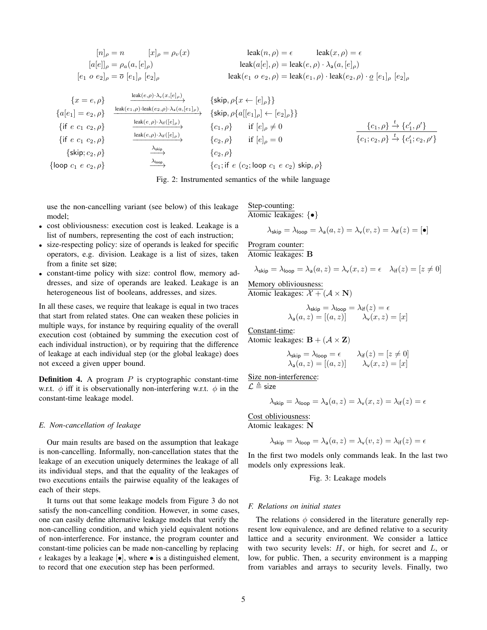$$
[n]_{\rho} = n \qquad [x]_{\rho} = \rho_v(x) \qquad \qquad \text{leak}(n, \rho) = \epsilon \qquad \text{leak}(x, \rho) = \epsilon
$$
\n
$$
[a[e]]_{\rho} = \rho_a(a, [e]_{\rho}) \qquad \qquad \text{leak}(a[e], \rho) = \text{leak}(e, \rho) \cdot \lambda_a(a, [e]_{\rho})
$$
\n
$$
[e_1 \ o \ e_2]_{\rho} = \overline{o} \ [e_1]_{\rho} \ [e_2]_{\rho} \qquad \qquad \text{leak}(e_1 \ o \ e_2, \rho) = \text{leak}(e_1, \rho) \cdot \text{leak}(e_2, \rho) \cdot \underline{o} \ [e_1]_{\rho} \ [e_2]_{\rho}
$$

$$
\begin{array}{llll}\n\{x = e, \rho\} & \xrightarrow{\text{leak}(e, \rho) \cdot \lambda_v(x, [e]_{\rho})} & \{\text{skip}, \rho\{x \leftarrow [e]_{\rho}\}\} \\
\{a[e_1] = e_2, \rho\} & \xrightarrow{\text{leak}(e_1, \rho) \cdot \text{leak}(e_2, \rho) \cdot \lambda_a(a, [e_1]_{\rho})} & \{\text{skip}, \rho\{a[[e_1]_{\rho}] \leftarrow [e_2]_{\rho}\}\} \\
\{if \ e \ c_1 \ c_2, \rho\} & \xrightarrow{\text{leak}(e, \rho) \cdot \lambda_{\text{if}}([e]_{\rho})} & \{c_1, \rho\} & \text{if } [e]_{\rho} \neq 0 \\
\{if \ e \ c_1 \ c_2, \rho\} & \xrightarrow{\text{leak}(e, \rho) \cdot \lambda_{\text{if}}([e]_{\rho})} & \{c_2, \rho\} & \text{if } [e]_{\rho} = 0 \\
\{bisp; c_2, \rho\} & \xrightarrow{\text{Askip}} & \{c_2, \rho\} & \{c_1; \text{if } e \ (c_2; \text{loop } c_1 \ e \ c_2) & \text{skip}, \rho\}\n\end{array}
$$

Fig. 2: Instrumented semantics of the while language

use the non-cancelling variant (see below) of this leakage model;

- cost obliviousness: execution cost is leaked. Leakage is a list of numbers, representing the cost of each instruction;
- size-respecting policy: size of operands is leaked for specific operators, e.g. division. Leakage is a list of sizes, taken from a finite set size;
- constant-time policy with size: control flow, memory addresses, and size of operands are leaked. Leakage is an heterogeneous list of booleans, addresses, and sizes.

In all these cases, we require that leakage is equal in two traces that start from related states. One can weaken these policies in multiple ways, for instance by requiring equality of the overall execution cost (obtained by summing the execution cost of each individual instruction), or by requiring that the difference of leakage at each individual step (or the global leakage) does not exceed a given upper bound.

**Definition 4.** A program  $P$  is cryptographic constant-time w.r.t.  $\phi$  iff it is observationally non-interfering w.r.t.  $\phi$  in the constant-time leakage model.

#### *E. Non-cancellation of leakage*

Our main results are based on the assumption that leakage is non-cancelling. Informally, non-cancellation states that the leakage of an execution uniquely determines the leakage of all its individual steps, and that the equality of the leakages of two executions entails the pairwise equality of the leakages of each of their steps.

It turns out that some leakage models from Figure 3 do not satisfy the non-cancelling condition. However, in some cases, one can easily define alternative leakage models that verify the non-cancelling condition, and which yield equivalent notions of non-interference. For instance, the program counter and constant-time policies can be made non-cancelling by replacing  $\epsilon$  leakages by a leakage  $\lbrack \bullet \rbrack$ , where  $\bullet$  is a distinguished element, to record that one execution step has been performed.

Step-counting: Atomic leakages: {•}

$$
\lambda_{\textsf{skip}} = \lambda_{\textsf{loop}} = \lambda_{\textsf{a}}(a, z) = \lambda_{\textsf{v}}(v, z) = \lambda_{\textsf{if}}(z) = [\bullet]
$$

Program counter: Atomic leakages: B

$$
\lambda_{\textsf{skip}} = \lambda_{\textsf{loop}} = \lambda_{\textsf{a}}(a, z) = \lambda_{\textsf{v}}(x, z) = \epsilon \quad \lambda_{\textsf{if}}(z) = [z \neq 0]
$$

Memory obliviousness: Atomic leakages:  $\mathcal{X} + (\mathcal{A} \times \mathbf{N})$ 

$$
\lambda_{\text{skip}} = \lambda_{\text{loop}} = \lambda_{\text{if}}(z) = \epsilon
$$

$$
\lambda_{\text{a}}(a, z) = [(a, z)] \qquad \lambda_{\text{v}}(x, z) = [x]
$$

Constant-time:

Atomic leakages:  $\mathbf{B} + (\mathcal{A} \times \mathbf{Z})$ 

$$
\lambda_{\text{skip}} = \lambda_{\text{loop}} = \epsilon \qquad \lambda_{\text{if}}(z) = [z \neq 0]
$$

$$
\lambda_{\text{a}}(a, z) = [(a, z)] \qquad \lambda_{\text{v}}(x, z) = [x]
$$

Size non-interference:

 $\mathcal{L} \triangleq$  size

$$
\lambda_{\textsf{skip}} = \lambda_{\textsf{loop}} = \lambda_{\textsf{a}}(a, z) = \lambda_{\textsf{v}}(x, z) = \lambda_{\textsf{if}}(z) = \epsilon
$$

Cost obliviousness:

Atomic leakages: N

$$
\lambda_{\textsf{skip}} = \lambda_{\textsf{loop}} = \lambda_{\textsf{a}}(a,z) = \lambda_{\textsf{v}}(v,z) = \lambda_{\textsf{if}}(z) = \epsilon
$$

In the first two models only commands leak. In the last two models only expressions leak.

Fig. 3: Leakage models

#### *F. Relations on initial states*

The relations  $\phi$  considered in the literature generally represent low equivalence, and are defined relative to a security lattice and a security environment. We consider a lattice with two security levels:  $H$ , or high, for secret and  $L$ , or low, for public. Then, a security environment is a mapping from variables and arrays to security levels. Finally, two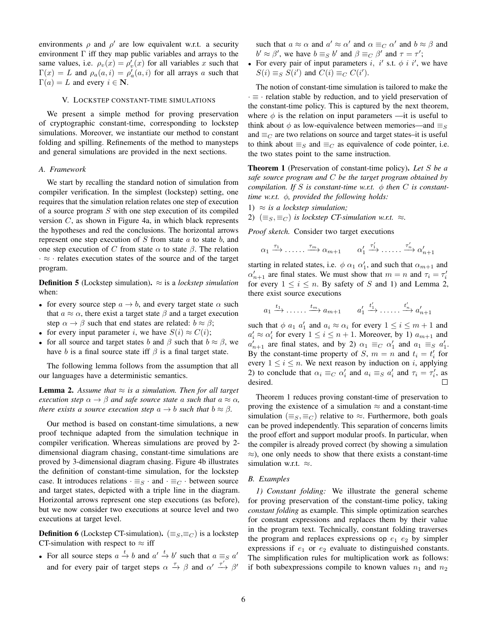environments  $\rho$  and  $\rho'$  are low equivalent w.r.t. a security environment  $\Gamma$  iff they map public variables and arrays to the same values, i.e.  $\rho_v(x) = \rho'_v(x)$  for all variables x such that  $\Gamma(x) = L$  and  $\rho_a(a, i) = \rho'_a(a, i)$  for all arrays a such that  $\Gamma(a) = L$  and every  $i \in \mathbb{N}$ .

## V. LOCKSTEP CONSTANT-TIME SIMULATIONS

We present a simple method for proving preservation of cryptographic constant-time, corresponding to lockstep simulations. Moreover, we instantiate our method to constant folding and spilling. Refinements of the method to manysteps and general simulations are provided in the next sections.

#### *A. Framework*

We start by recalling the standard notion of simulation from compiler verification. In the simplest (lockstep) setting, one requires that the simulation relation relates one step of execution of a source program  $S$  with one step execution of its compiled version  $C$ , as shown in Figure 4a, in which black represents the hypotheses and red the conclusions. The horizontal arrows represent one step execution of  $S$  from state  $a$  to state  $b$ , and one step execution of C from state  $\alpha$  to state  $\beta$ . The relation  $\cdot \approx \cdot$  relates execution states of the source and of the target program.

**Definition 5** (Lockstep simulation).  $\approx$  is a *lockstep simulation* when:

- for every source step  $a \rightarrow b$ , and every target state  $\alpha$  such that  $a \approx \alpha$ , there exist a target state  $\beta$  and a target execution step  $\alpha \rightarrow \beta$  such that end states are related:  $b \approx \beta$ ;
- for every input parameter *i*, we have  $S(i) \approx C(i)$ ;
- for all source and target states b and  $\beta$  such that  $b \approx \beta$ , we have b is a final source state iff  $\beta$  is a final target state.

The following lemma follows from the assumption that all our languages have a deterministic semantics.

**Lemma 2.** Assume that  $\approx$  *is a simulation. Then for all target execution step*  $\alpha \rightarrow \beta$  *and safe source state* a *such that*  $a \approx \alpha$ *, there exists a source execution step*  $a \rightarrow b$  *such that*  $b \approx \beta$ *.* 

Our method is based on constant-time simulations, a new proof technique adapted from the simulation technique in compiler verification. Whereas simulations are proved by 2 dimensional diagram chasing, constant-time simulations are proved by 3-dimensional diagram chasing. Figure 4b illustrates the definition of constant-time simulation, for the lockstep case. It introduces relations  $\cdot \equiv_S \cdot$  and  $\cdot \equiv_C \cdot$  between source and target states, depicted with a triple line in the diagram. Horizontal arrows represent one step executions (as before), but we now consider two executions at source level and two executions at target level.

**Definition 6** (Lockstep CT-simulation).  $(\equiv_S, \equiv_C)$  is a lockstep CT-simulation with respect to  $\approx$  iff

• For all source steps  $a \xrightarrow{t} b$  and  $a' \xrightarrow{t} b'$  such that  $a \equiv_{S} a'$ and for every pair of target steps  $\alpha \stackrel{\tau}{\rightarrow} \beta$  and  $\alpha' \stackrel{\tau'}{\rightarrow} \beta'$  such that  $a \approx \alpha$  and  $a' \approx \alpha'$  and  $\alpha \equiv_C \alpha'$  and  $b \approx \beta$  and  $b' \approx \beta'$ , we have  $b \equiv_S b'$  and  $\beta \equiv_C \beta'$  and  $\tau = \tau'$ ;

• For every pair of input parameters i, i' s.t.  $\phi$  i i', we have  $S(i) \equiv_S S(i')$  and  $C(i) \equiv_C C(i')$ .

The notion of constant-time simulation is tailored to make the · ≡ · relation stable by reduction, and to yield preservation of the constant-time policy. This is captured by the next theorem, where  $\phi$  is the relation on input parameters —it is useful to think about  $\phi$  as low-equivalence between memories—and  $\equiv_S$ and  $\equiv_C$  are two relations on source and target states–it is useful to think about  $\equiv_S$  and  $\equiv_C$  as equivalence of code pointer, i.e. the two states point to the same instruction.

Theorem 1 (Preservation of constant-time policy). *Let* S *be a safe source program and* C *be the target program obtained by compilation. If* S *is constant-time w.r.t.*  $\phi$  *then* C *is constanttime w.r.t.* φ*, provided the following holds:*

1) 
$$
\approx
$$
 is a lockstep simulation;

2)  $(\equiv_S, \equiv_C)$  *is lockstep CT-simulation w.r.t.*  $\approx$ *.* 

*Proof sketch.* Consider two target executions

 $\alpha_1 \stackrel{\tau_1}{\longrightarrow} \ldots \stackrel{\tau_m}{\longrightarrow} \alpha_{m+1} \qquad \alpha'_1$  $\stackrel{\tau'_1}{\longrightarrow} \cdots \stackrel{\tau'_n}{\longrightarrow} \alpha'_{n+1}$ 

starting in related states, i.e.  $\phi \alpha_1 \alpha'_1$ , and such that  $\alpha_{m+1}$  and  $\alpha'_{n+1}$  are final states. We must show that  $m = n$  and  $\tau_i = \tau'_i$ for every  $1 \leq i \leq n$ . By safety of S and 1) and Lemma 2, there exist source executions

$$
a_1 \xrightarrow{t_1} \cdots \cdots \xrightarrow{t_m} a_{m+1} \qquad a'_1 \xrightarrow{t'_1} \cdots \cdots \xrightarrow{t'_n} a'_{n+1}
$$

such that  $\phi$   $a_1$   $a'_1$  and  $a_i \approx \alpha_i$  for every  $1 \le i \le m+1$  and  $a'_i \approx \alpha'_i$  for every  $1 \le i \le n+1$ . Moreover, by 1)  $a_{m+1}$  and  $a'_{n+1}$  are final states, and by 2)  $\alpha_1 \equiv_C \alpha'_1$  and  $a_1 \equiv_S a'_1$ . By the constant-time property of S,  $m = n$  and  $t_i = t'_i$  for every  $1 \leq i \leq n$ . We next reason by induction on i, applying 2) to conclude that  $\alpha_i \equiv_C \alpha'_i$  and  $a_i \equiv_S a'_i$  and  $\tau_i = \tau'_i$ , as desired.

Theorem 1 reduces proving constant-time of preservation to proving the existence of a simulation  $\approx$  and a constant-time simulation ( $\equiv_S, \equiv_C$ ) relative to  $\approx$ . Furthermore, both goals can be proved independently. This separation of concerns limits the proof effort and support modular proofs. In particular, when the compiler is already proved correct (by showing a simulation  $\approx$ ), one only needs to show that there exists a constant-time simulation w.r.t.  $\approx$ .

# *B. Examples*

*1) Constant folding:* We illustrate the general scheme for proving preservation of the constant-time policy, taking *constant folding* as example. This simple optimization searches for constant expressions and replaces them by their value in the program text. Technically, constant folding traverses the program and replaces expressions op  $e_1$   $e_2$  by simpler expressions if  $e_1$  or  $e_2$  evaluate to distinguished constants. The simplification rules for multiplication work as follows: if both subexpressions compile to known values  $n_1$  and  $n_2$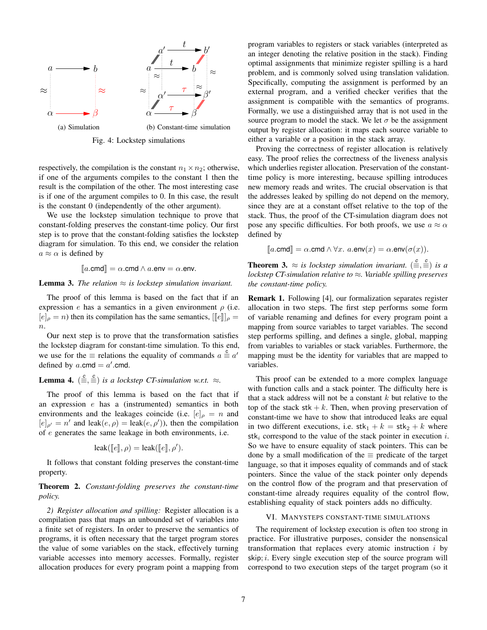

Fig. 4: Lockstep simulations

respectively, the compilation is the constant  $n_1 \times n_2$ ; otherwise, if one of the arguments compiles to the constant 1 then the result is the compilation of the other. The most interesting case is if one of the argument compiles to 0. In this case, the result is the constant 0 (independently of the other argument).

We use the lockstep simulation technique to prove that constant-folding preserves the constant-time policy. Our first step is to prove that the constant-folding satisfies the lockstep diagram for simulation. To this end, we consider the relation  $a \approx \alpha$  is defined by

$$
[\![a.\mathsf{cmd}]\!] = \alpha.\mathsf{cmd} \land a.\mathsf{env} = \alpha.\mathsf{env}.
$$

**Lemma 3.** *The relation*  $\approx$  *is lockstep simulation invariant.* 

The proof of this lemma is based on the fact that if an expression e has a semantics in a given environment  $\rho$  (i.e.  $[e]_{\rho} = n$ ) then its compilation has the same semantics,  $[[e]]_{\rho} =$  $n$ .

Our next step is to prove that the transformation satisfies the lockstep diagram for constant-time simulation. To this end, we use for the  $\equiv$  relations the equality of commands  $a \stackrel{c}{=} a'$ defined by  $a$ .cmd =  $a'$ .cmd.

# **Lemma 4.**  $(\frac{c}{\equiv}, \frac{c}{\equiv})$  *is a lockstep CT-simulation w.r.t.*  $\approx$ .

The proof of this lemma is based on the fact that if an expression e has a (instrumented) semantics in both environments and the leakages coincide (i.e.  $[e]_{\rho} = n$  and  $[e]_{\rho'} = n'$  and leak $(e, \rho) =$  leak $(e, \rho')$ ), then the compilation of e generates the same leakage in both environments, i.e.

$$
leak([\![e]\!], \rho) = leak([\![e]\!], \rho').
$$

It follows that constant folding preserves the constant-time property.

# Theorem 2. *Constant-folding preserves the constant-time policy.*

*2) Register allocation and spilling:* Register allocation is a compilation pass that maps an unbounded set of variables into a finite set of registers. In order to preserve the semantics of programs, it is often necessary that the target program stores the value of some variables on the stack, effectively turning variable accesses into memory accesses. Formally, register allocation produces for every program point a mapping from program variables to registers or stack variables (interpreted as an integer denoting the relative position in the stack). Finding optimal assignments that minimize register spilling is a hard problem, and is commonly solved using translation validation. Specifically, computing the assignment is performed by an external program, and a verified checker verifies that the assignment is compatible with the semantics of programs. Formally, we use a distinguished array that is not used in the source program to model the stack. We let  $\sigma$  be the assignment output by register allocation: it maps each source variable to either a variable or a position in the stack array.

Proving the correctness of register allocation is relatively easy. The proof relies the correctness of the liveness analysis which underlies register allocation. Preservation of the constanttime policy is more interesting, because spilling introduces new memory reads and writes. The crucial observation is that the addresses leaked by spilling do not depend on the memory, since they are at a constant offset relative to the top of the stack. Thus, the proof of the CT-simulation diagram does not pose any specific difficulties. For both proofs, we use  $a \approx \alpha$ defined by

$$
[\![a.\mathsf{cmd}]\!] = \alpha.\mathsf{cmd} \land \forall x.\ a.\mathsf{env}(x) = \alpha.\mathsf{env}(\sigma(x)).
$$

**Theorem 3.**  $\approx$  *is lockstep simulation invariant.*  $(\frac{c}{m}, \frac{c}{m})$  *is a lockstep CT-simulation relative to* ≈*. Variable spilling preserves the constant-time policy.*

Remark 1. Following [4], our formalization separates register allocation in two steps. The first step performs some form of variable renaming and defines for every program point a mapping from source variables to target variables. The second step performs spilling, and defines a single, global, mapping from variables to variables or stack variables. Furthermore, the mapping must be the identity for variables that are mapped to variables.

This proof can be extended to a more complex language with function calls and a stack pointer. The difficulty here is that a stack address will not be a constant  $k$  but relative to the top of the stack  $stk + k$ . Then, when proving preservation of constant-time we have to show that introduced leaks are equal in two different executions, i.e.  $\text{stk}_1 + k = \text{stk}_2 + k$  where stk<sub>i</sub> correspond to the value of the stack pointer in execution i. So we have to ensure equality of stack pointers. This can be done by a small modification of the  $\equiv$  predicate of the target language, so that it imposes equality of commands and of stack pointers. Since the value of the stack pointer only depends on the control flow of the program and that preservation of constant-time already requires equality of the control flow, establishing equality of stack pointers adds no difficulty.

#### VI. MANYSTEPS CONSTANT-TIME SIMULATIONS

The requirement of lockstep execution is often too strong in practice. For illustrative purposes, consider the nonsensical transformation that replaces every atomic instruction  $i$  by  $skip; i.$  Every single execution step of the source program will correspond to two execution steps of the target program (so it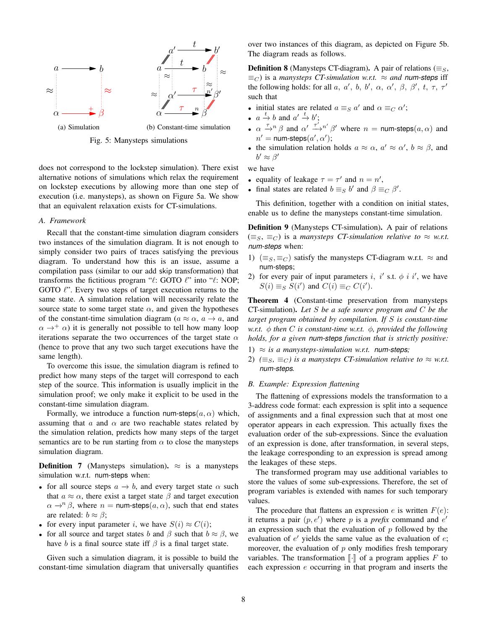

Fig. 5: Manysteps simulations

does not correspond to the lockstep simulation). There exist alternative notions of simulations which relax the requirement on lockstep executions by allowing more than one step of execution (i.e. manysteps), as shown on Figure 5a. We show that an equivalent relaxation exists for CT-simulations.

## *A. Framework*

Recall that the constant-time simulation diagram considers two instances of the simulation diagram. It is not enough to simply consider two pairs of traces satisfying the previous diagram. To understand how this is an issue, assume a compilation pass (similar to our add skip transformation) that transforms the fictitious program " $\ell$ : GOTO  $\ell$ " into " $\ell$ : NOP; GOTO  $\ell$ ". Every two steps of target execution returns to the same state. A simulation relation will necessarily relate the source state to some target state  $\alpha$ , and given the hypotheses of the constant-time simulation diagram ( $a \approx \alpha$ ,  $a \rightarrow a$ , and  $\alpha \rightarrow^+ \alpha$ ) it is generally not possible to tell how many loop iterations separate the two occurrences of the target state  $\alpha$ (hence to prove that any two such target executions have the same length).

To overcome this issue, the simulation diagram is refined to predict how many steps of the target will correspond to each step of the source. This information is usually implicit in the simulation proof; we only make it explicit to be used in the constant-time simulation diagram.

Formally, we introduce a function num-steps( $a, \alpha$ ) which, assuming that  $\alpha$  and  $\alpha$  are two reachable states related by the simulation relation, predicts how many steps of the target semantics are to be run starting from  $\alpha$  to close the manysteps simulation diagram.

**Definition** 7 (Manysteps simulation).  $\approx$  is a manysteps simulation w.r.t. num-steps when:

- for all source steps  $a \rightarrow b$ , and every target state  $\alpha$  such that  $a \approx \alpha$ , there exist a target state  $\beta$  and target execution  $\alpha \rightarrow^n \beta$ , where  $n =$  num-steps $(a, \alpha)$ , such that end states are related:  $b \approx \beta$ ;
- for every input parameter *i*, we have  $S(i) \approx C(i)$ ;
- for all source and target states b and  $\beta$  such that  $b \approx \beta$ , we have b is a final source state iff  $\beta$  is a final target state.

Given such a simulation diagram, it is possible to build the constant-time simulation diagram that universally quantifies

over two instances of this diagram, as depicted on Figure 5b. The diagram reads as follows.

**Definition 8** (Manysteps CT-diagram). A pair of relations ( $\equiv_S$ ,  $\equiv_C$ ) is a *manysteps CT-simulation w.r.t.*  $\approx$  *and num-steps* iff the following holds: for all a, a', b, b',  $\alpha$ ,  $\alpha'$ ,  $\beta$ ,  $\beta'$ ,  $t$ ,  $\tau$ ,  $\tau'$ such that

- initial states are related  $a \equiv_S a'$  and  $\alpha \equiv_C \alpha'$ ;
- $a \xrightarrow{t} b$  and  $a' \xrightarrow{t} b'$ ;
- $\alpha \stackrel{\tau}{\rightarrow} n \beta$  and  $\alpha' \stackrel{\tau'}{\rightarrow} n' \beta'$  where  $n =$  num-steps $(a, \alpha)$  and  $n'$  = num-steps $(a', \alpha');$
- the simulation relation holds  $a \approx \alpha$ ,  $a' \approx \alpha'$ ,  $b \approx \beta$ , and  $b' \approx \beta'$

we have

- equality of leakage  $\tau = \tau'$  and  $n = n'$ ,
- final states are related  $b \equiv_S b'$  and  $\beta \equiv_C \beta'$ .

This definition, together with a condition on initial states, enable us to define the manysteps constant-time simulation.

Definition 9 (Manysteps CT-simulation). A pair of relations  $(\equiv_S, \equiv_C)$  is a *manysteps CT-simulation relative to*  $\approx$  *w.r.t. num-steps* when:

- 1) ( $\equiv_S, \equiv_C$ ) satisfy the manysteps CT-diagram w.r.t.  $\approx$  and num-steps;
- 2) for every pair of input parameters i, i' s.t.  $\phi$  i i', we have  $S(i) \equiv_S S(i')$  and  $C(i) \equiv_C C(i')$ .

Theorem 4 (Constant-time preservation from manysteps CT-simulation). *Let* S *be a safe source program and* C *be the target program obtained by compilation. If* S *is constant-time w.r.t.* φ *then* C *is constant-time w.r.t.* φ*, provided the following holds, for a given num-steps function that is strictly positive:*

- 1)  $\approx$  *is a manysteps-simulation w.r.t. num-steps*;
- 2)  $(\equiv_S, \equiv_C)$  *is a manysteps CT-simulation relative to*  $\approx$  *w.r.t. num-steps.*

# *B. Example: Expression flattening*

The flattening of expressions models the transformation to a 3-address code format: each expression is split into a sequence of assignments and a final expression such that at most one operator appears in each expression. This actually fixes the evaluation order of the sub-expressions. Since the evaluation of an expression is done, after transformation, in several steps, the leakage corresponding to an expression is spread among the leakages of these steps.

The transformed program may use additional variables to store the values of some sub-expressions. Therefore, the set of program variables is extended with names for such temporary values.

The procedure that flattens an expression e is written  $F(e)$ : it returns a pair  $(p, e')$  where p is a *prefix* command and  $e'$ an expression such that the evaluation of  $p$  followed by the evaluation of  $e'$  yields the same value as the evaluation of  $e$ ; moreover, the evaluation of  $p$  only modifies fresh temporary variables. The transformation  $\llbracket \cdot \rrbracket$  of a program applies F to each expression e occurring in that program and inserts the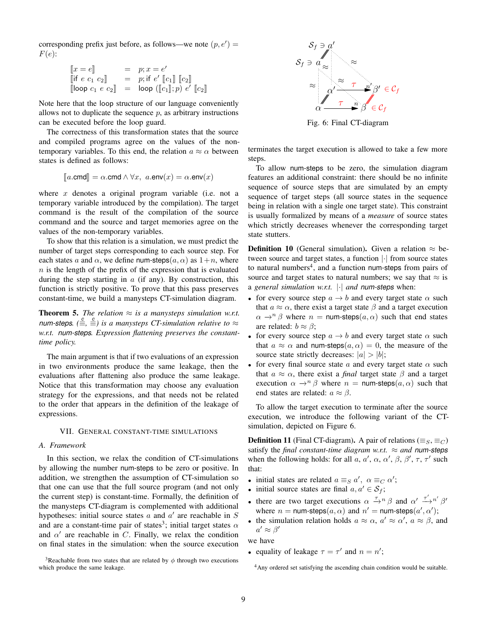corresponding prefix just before, as follows—we note  $(p, e') =$  $F(e)$ :

$$
\begin{array}{rcl}\n\llbracket x = e \rrbracket & = & p; x = e' \\
\llbracket \text{if } e \ c_1 \ c_2 \rrbracket & = & p; \text{if } e' \llbracket c_1 \rrbracket \ \llbracket c_2 \rrbracket \\
\llbracket \text{loop } c_1 \ e \ c_2 \rrbracket & = & \text{loop } (\llbracket c_1 \rrbracket; p) e' \llbracket c_2 \rrbracket\n\end{array}
$$

 $\mathbb I$ 

Note here that the loop structure of our language conveniently allows not to duplicate the sequence  $p$ , as arbitrary instructions can be executed before the loop guard.

The correctness of this transformation states that the source and compiled programs agree on the values of the nontemporary variables. To this end, the relation  $a \approx \alpha$  between states is defined as follows:

$$
[\![a.\mathsf{cmd}]\!] = \alpha.\mathsf{cmd} \land \forall x, \ a.\mathsf{env}(x) = \alpha.\mathsf{env}(x)
$$

where  $x$  denotes a original program variable (i.e. not a temporary variable introduced by the compilation). The target command is the result of the compilation of the source command and the source and target memories agree on the values of the non-temporary variables.

To show that this relation is a simulation, we must predict the number of target steps corresponding to each source step. For each states a and  $\alpha$ , we define num-steps(a,  $\alpha$ ) as  $1+n$ , where  $n$  is the length of the prefix of the expression that is evaluated during the step starting in  $\alpha$  (if any). By construction, this function is strictly positive. To prove that this pass preserves constant-time, we build a manysteps CT-simulation diagram.

**Theorem 5.** *The relation*  $\approx$  *is a manysteps simulation w.r.t. num-steps.*  $(\frac{c}{m}, \frac{c}{m})$  *is a manysteps CT-simulation relative to*  $\approx$ *w.r.t. num-steps. Expression flattening preserves the constanttime policy.*

The main argument is that if two evaluations of an expression in two environments produce the same leakage, then the evaluations after flattening also produce the same leakage. Notice that this transformation may choose any evaluation strategy for the expressions, and that needs not be related to the order that appears in the definition of the leakage of expressions.

#### VII. GENERAL CONSTANT-TIME SIMULATIONS

# *A. Framework*

In this section, we relax the condition of CT-simulations by allowing the number num-steps to be zero or positive. In addition, we strengthen the assumption of CT-simulation so that one can use that the full source program (and not only the current step) is constant-time. Formally, the definition of the manysteps CT-diagram is complemented with additional hypotheses: initial source states  $a$  and  $a'$  are reachable in  $S$ and are a constant-time pair of states<sup>3</sup>; initial target states  $\alpha$ and  $\alpha'$  are reachable in C. Finally, we relax the condition on final states in the simulation: when the source execution





Fig. 6: Final CT-diagram

terminates the target execution is allowed to take a few more steps.

To allow num-steps to be zero, the simulation diagram features an additional constraint: there should be no infinite sequence of source steps that are simulated by an empty sequence of target steps (all source states in the sequence being in relation with a single one target state). This constraint is usually formalized by means of a *measure* of source states which strictly decreases whenever the corresponding target state stutters.

**Definition 10** (General simulation). Given a relation  $\approx$  between source and target states, a function |·| from source states to natural numbers<sup>4</sup>, and a function num-steps from pairs of source and target states to natural numbers; we say that  $\approx$  is a *general simulation w.r.t.* |·| *and num-steps* when:

- for every source step  $a \rightarrow b$  and every target state  $\alpha$  such that  $a \approx \alpha$ , there exist a target state  $\beta$  and a target execution  $\alpha \rightarrow^n \beta$  where  $n =$  num-steps $(a, \alpha)$  such that end states are related:  $b \approx \beta$ ;
- for every source step  $a \rightarrow b$  and every target state  $\alpha$  such that  $a \approx \alpha$  and num-steps $(a, \alpha) = 0$ , the measure of the source state strictly decreases:  $|a| > |b|$ ;
- for every final source state a and every target state  $\alpha$  such that  $a \approx \alpha$ , there exist a *final* target state  $\beta$  and a target execution  $\alpha \rightarrow^n \beta$  where  $n =$  num-steps(a,  $\alpha$ ) such that end states are related:  $a \approx \beta$ .

To allow the target execution to terminate after the source execution, we introduce the following variant of the CTsimulation, depicted on Figure 6.

**Definition 11** (Final CT-diagram). A pair of relations ( $\equiv_S$ ,  $\equiv_C$ ) satisfy the *final constant-time diagram w.r.t.*  $\approx$  *and num-steps* when the following holds: for all a, a',  $\alpha$ ,  $\alpha'$ ,  $\beta$ ,  $\beta'$ ,  $\tau$ ,  $\tau'$  such that:

- initial states are related  $a \equiv_S a'$ ,  $\alpha \equiv_C \alpha'$ ;
- initial source states are final  $a, a' \in S_f$ ;
- there are two target executions  $\alpha \stackrel{\tau}{\rightarrow} n \beta$  and  $\alpha' \stackrel{\tau'}{\rightarrow} n' \beta'$ where  $n =$  num-steps $(a, \alpha)$  and  $n' =$  num-steps $(a', \alpha')$ ;
- the simulation relation holds  $a \approx \alpha$ ,  $a' \approx \alpha'$ ,  $a \approx \beta$ , and  $a' \approx \beta'$

we have

• equality of leakage  $\tau = \tau'$  and  $n = n'$ ;

<sup>&</sup>lt;sup>4</sup>Any ordered set satisfying the ascending chain condition would be suitable.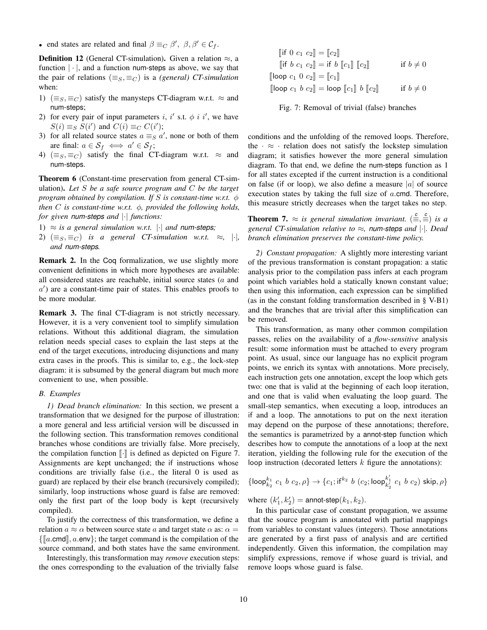• end states are related and final  $\beta \equiv_C \beta'$ ,  $\beta$ ,  $\beta' \in C_f$ .

**Definition 12** (General CT-simulation). Given a relation  $\approx$ , a function  $|\cdot|$ , and a function num-steps as above, we say that the pair of relations ( $\equiv_S, \equiv_C$ ) is a *(general)* CT-simulation when:

- 1) ( $\equiv_S, \equiv_C$ ) satisfy the manysteps CT-diagram w.r.t.  $\approx$  and num-steps;
- 2) for every pair of input parameters i, i' s.t.  $\phi$  i i', we have  $S(i) \equiv_S S(i')$  and  $C(i) \equiv_C C(i')$ ;
- 3) for all related source states  $a \equiv_S a'$ , none or both of them are final:  $a \in S_f \iff a' \in S_f;$
- 4) ( $\equiv_S, \equiv_C$ ) satisfy the final CT-diagram w.r.t.  $\approx$  and num-steps.

Theorem 6 (Constant-time preservation from general CT-simulation). *Let* S *be a safe source program and* C *be the target program obtained by compilation. If* S *is constant-time w.r.t.* φ *then* C *is constant-time w.r.t.* φ*, provided the following holds, for given num-steps and* |·| *functions:*

- 1)  $\approx$  *is a general simulation w.r.t.*  $|\cdot|$  *and num-steps*;
- 2)  $(\equiv_S, \equiv_C)$  *is a general CT-simulation w.r.t.*  $\approx$ , |·|, *and num-steps.*

Remark 2. In the Coq formalization, we use slightly more convenient definitions in which more hypotheses are available: all considered states are reachable, initial source states (a and a 0 ) are a constant-time pair of states. This enables proofs to be more modular.

Remark 3. The final CT-diagram is not strictly necessary. However, it is a very convenient tool to simplify simulation relations. Without this additional diagram, the simulation relation needs special cases to explain the last steps at the end of the target executions, introducing disjunctions and many extra cases in the proofs. This is similar to, e.g., the lock-step diagram: it is subsumed by the general diagram but much more convenient to use, when possible.

#### *B. Examples*

*1) Dead branch elimination:* In this section, we present a transformation that we designed for the purpose of illustration: a more general and less artificial version will be discussed in the following section. This transformation removes conditional branches whose conditions are trivially false. More precisely, the compilation function  $\lceil \cdot \rceil$  is defined as depicted on Figure 7. Assignments are kept unchanged; the if instructions whose conditions are trivially false (i.e., the literal 0 is used as guard) are replaced by their else branch (recursively compiled); similarly, loop instructions whose guard is false are removed: only the first part of the loop body is kept (recursively compiled).

To justify the correctness of this transformation, we define a relation  $a \approx \alpha$  between source state a and target state  $\alpha$  as:  $\alpha =$  $\{\|a.\text{cmd}\|, a.\text{env}\}\;$ ; the target command is the compilation of the source command, and both states have the same environment.

Interestingly, this transformation may *remove* execution steps: the ones corresponding to the evaluation of the trivially false

$$
\begin{aligned}\n[\text{if } 0 \ c_1 \ c_2] &= [c_2] \\
[\text{if } b \ c_1 \ c_2] &= \text{if } b \ [c_1] \ [c_2] \\
[\text{loop } c_1 \ 0 \ c_2] &= [c_1] \\
[\text{loop } c_1 \ b \ c_2] &= \text{loop } [c_1] \ b \ [c_2] \\
\text{if } b \neq 0\n\end{aligned}
$$

Fig. 7: Removal of trivial (false) branches

conditions and the unfolding of the removed loops. Therefore, the  $\cdot \approx \cdot$  relation does not satisfy the lockstep simulation diagram; it satisfies however the more general simulation diagram. To that end, we define the num-steps function as 1 for all states excepted if the current instruction is a conditional on false (if or loop), we also define a measure |a| of source execution states by taking the full size of  $a$  cmd. Therefore, this measure strictly decreases when the target takes no step.

**Theorem 7.**  $\approx$  *is general simulation invariant.*  $(\frac{c}{m}, \frac{c}{m})$  *is a general CT-simulation relative to* ≈*, num-steps and* |·|*. Dead branch elimination preserves the constant-time policy.*

*2) Constant propagation:* A slightly more interesting variant of the previous transformation is constant propagation: a static analysis prior to the compilation pass infers at each program point which variables hold a statically known constant value; then using this information, each expression can be simplified (as in the constant folding transformation described in § V-B1) and the branches that are trivial after this simplification can be removed.

This transformation, as many other common compilation passes, relies on the availability of a *flow-sensitive* analysis result: some information must be attached to every program point. As usual, since our language has no explicit program points, we enrich its syntax with annotations. More precisely, each instruction gets one annotation, except the loop which gets two: one that is valid at the beginning of each loop iteration, and one that is valid when evaluating the loop guard. The small-step semantics, when executing a loop, introduces an if and a loop. The annotations to put on the next iteration may depend on the purpose of these annotations; therefore, the semantics is parametrized by a annot-step function which describes how to compute the annotations of a loop at the next iteration, yielding the following rule for the execution of the loop instruction (decorated letters  $k$  figure the annotations):

$$
\{\text{loop}_{k_2}^{k_1} c_1 b c_2, \rho\} \to \{c_1; \text{if}^{k_2} b (c_2; \text{loop}_{k'_2}^{k'_1} c_1 b c_2) \text{ skip}, \rho\}
$$

where  $(k'_1, k'_2) =$  annot-step $(k_1, k_2)$ .

In this particular case of constant propagation, we assume that the source program is annotated with partial mappings from variables to constant values (integers). Those annotations are generated by a first pass of analysis and are certified independently. Given this information, the compilation may simplify expressions, remove if whose guard is trivial, and remove loops whose guard is false.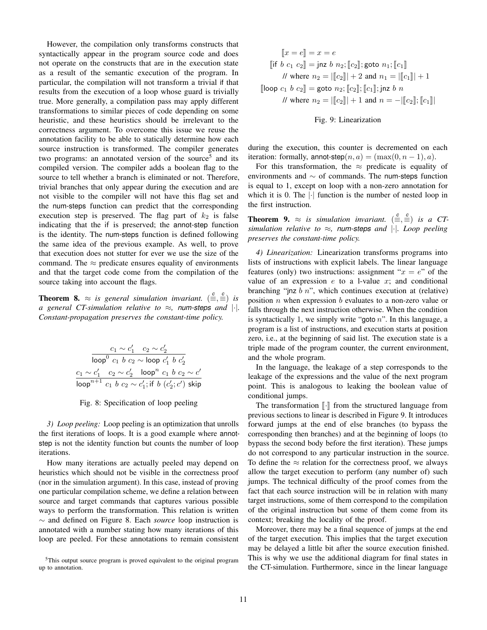However, the compilation only transforms constructs that syntactically appear in the program source code and does not operate on the constructs that are in the execution state as a result of the semantic execution of the program. In particular, the compilation will not transform a trivial if that results from the execution of a loop whose guard is trivially true. More generally, a compilation pass may apply different transformations to similar pieces of code depending on some heuristic, and these heuristics should be irrelevant to the correctness argument. To overcome this issue we reuse the annotation facility to be able to statically determine how each source instruction is transformed. The compiler generates two programs: an annotated version of the source<sup>5</sup> and its compiled version. The compiler adds a boolean flag to the source to tell whether a branch is eliminated or not. Therefore, trivial branches that only appear during the execution and are not visible to the compiler will not have this flag set and the num-steps function can predict that the corresponding execution step is preserved. The flag part of  $k_2$  is false indicating that the if is preserved; the annot-step function is the identity. The num-steps function is defined following the same idea of the previous example. As well, to prove that execution does not stutter for ever we use the size of the command. The  $\approx$  predicate ensures equality of environments and that the target code come from the compilation of the source taking into account the flags.

**Theorem 8.**  $\approx$  *is general simulation invariant.*  $(\frac{c}{m}, \frac{c}{m})$  *is a general CT-simulation relative to* ≈*, num-steps and* |·|*. Constant-propagation preserves the constant-time policy.*

$$
\frac{c_1 \sim c_1' \quad c_2 \sim c_2'}{\text{loop}^0 \ c_1 \ b \ c_2 \sim \text{loop} \ c_1' \ b \ c_2'} \\ \frac{c_1 \sim c_1' \quad c_2 \sim c_2' \quad \text{loop}^n \ c_1 \ b \ c_2 \sim c'_1}{\text{loop}^{n+1} \ c_1 \ b \ c_2 \sim c'_1; \text{if} \ b \ (c'_2; c') \ \text{skip}}
$$

Fig. 8: Specification of loop peeling

*3) Loop peeling:* Loop peeling is an optimization that unrolls the first iterations of loops. It is a good example where annotstep is not the identity function but counts the number of loop iterations.

How many iterations are actually peeled may depend on heuristics which should not be visible in the correctness proof (nor in the simulation argument). In this case, instead of proving one particular compilation scheme, we define a relation between source and target commands that captures various possible ways to perform the transformation. This relation is written ∼ and defined on Figure 8. Each *source* loop instruction is annotated with a number stating how many iterations of this loop are peeled. For these annotations to remain consistent

$$
[\![x = e]\!] = x = e
$$
  
\n
$$
[\![if \ b \ c_1 \ c_2]\!] = \mathsf{jnz} \ b \ n_2; [\![c_2]\!]; \mathsf{goto} \ n_1; [\![c_1]\!]
$$
  
\n// where  $n_2 = |\![c_2]\!| + 2$  and  $n_1 = |\![c_1]\!| + 1$   
\n
$$
[\![\mathsf{loop} \ c_1 \ b \ c_2]\!] = \mathsf{goto} \ n_2; [\![c_2]\!]; [\![c_1]\!]; \mathsf{jnz} \ b \ n
$$
  
\n// where  $n_2 = |\![c_2]\!| + 1$  and  $n = -|\![c_2]\!]; [\![c_1]\!]$ 

# Fig. 9: Linearization

during the execution, this counter is decremented on each iteration: formally, annot-step $(n, a) = (max(0, n - 1), a)$ .

For this transformation, the  $\approx$  predicate is equality of environments and ∼ of commands. The num-steps function is equal to 1, except on loop with a non-zero annotation for which it is 0. The  $|\cdot|$  function is the number of nested loop in the first instruction.

**Theorem 9.**  $\approx$  *is simulation invariant.*  $(\frac{c}{m}, \frac{c}{m})$  *is a CTsimulation relative to* ≈*, num-steps and* |·|*. Loop peeling preserves the constant-time policy.*

*4) Linearization:* Linearization transforms programs into lists of instructions with explicit labels. The linear language features (only) two instructions: assignment " $x = e$ " of the value of an expression  $e$  to a l-value  $x$ ; and conditional branching "jnz  $b$  n", which continues execution at (relative) position  $n$  when expression  $b$  evaluates to a non-zero value or falls through the next instruction otherwise. When the condition is syntactically 1, we simply write "goto  $n$ ". In this language, a program is a list of instructions, and execution starts at position zero, i.e., at the beginning of said list. The execution state is a triple made of the program counter, the current environment, and the whole program.

In the language, the leakage of a step corresponds to the leakage of the expressions and the value of the next program point. This is analogous to leaking the boolean value of conditional jumps.

The transformation  $\lbrack \cdot \rbrack$  from the structured language from previous sections to linear is described in Figure 9. It introduces forward jumps at the end of else branches (to bypass the corresponding then branches) and at the beginning of loops (to bypass the second body before the first iteration). These jumps do not correspond to any particular instruction in the source. To define the  $\approx$  relation for the correctness proof, we always allow the target execution to perform (any number of) such jumps. The technical difficulty of the proof comes from the fact that each source instruction will be in relation with many target instructions, some of them correspond to the compilation of the original instruction but some of them come from its context; breaking the locality of the proof.

Moreover, there may be a final sequence of jumps at the end of the target execution. This implies that the target execution may be delayed a little bit after the source execution finished. This is why we use the additional diagram for final states in the CT-simulation. Furthermore, since in the linear language

<sup>&</sup>lt;sup>5</sup>This output source program is proved equivalent to the original program up to annotation.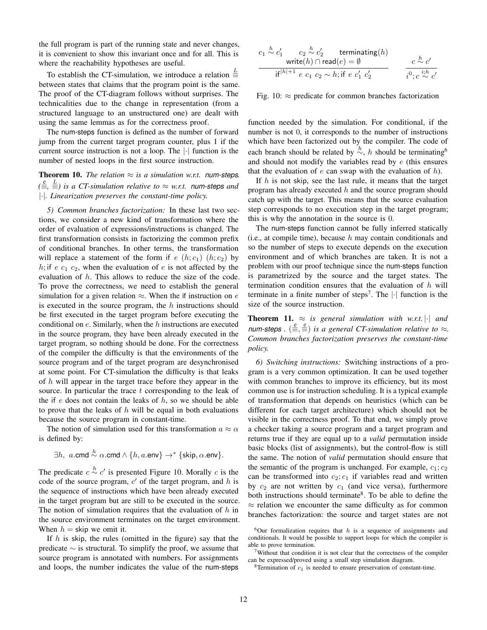the full program is part of the running state and never changes, it is convenient to show this invariant once and for all. This is where the reachability hypotheses are useful.

To establish the CT-simulation, we introduce a relation  $\equiv$ between states that claims that the program point is the same. The proof of the CT-diagram follows without surprises. The technicalities due to the change in representation (from a structured language to an unstructured one) are dealt with using the same lemmas as for the correctness proof.

The num-steps function is defined as the number of forward jump from the current target program counter, plus 1 if the current source instruction is not a loop. The |·| function is the number of nested loops in the first source instruction.

**Theorem 10.** *The relation*  $\approx$  *is a simulation w.r.t. num-steps.*  $(\frac{c}{m}, \frac{L}{m})$  *is a CT-simulation relative to* ≈ *w.r.t. num-steps and* |·|*. Linearization preserves the constant-time policy.*

*5) Common branches factorization:* In these last two sections, we consider a new kind of transformation where the order of evaluation of expressions/instructions is changed. The first transformation consists in factorizing the common prefix of conditional branches. In other terms, the transformation will replace a statement of the form if  $e(h; c_1)$   $(h; c_2)$  by h; if e  $c_1$   $c_2$ , when the evaluation of e is not affected by the evaluation of  $h$ . This allows to reduce the size of the code. To prove the correctness, we need to establish the general simulation for a given relation  $\approx$ . When the if instruction on e is executed in the source program, the  $h$  instructions should be first executed in the target program before executing the conditional on  $e$ . Similarly, when the  $h$  instructions are executed in the source program, they have been already executed in the target program, so nothing should be done. For the correctness of the compiler the difficulty is that the environments of the source program and of the target program are desynchronised at some point. For CT-simulation the difficulty is that leaks of h will appear in the target trace before they appear in the source. In particular the trace  $t$  corresponding to the leak of the if  $e$  does not contain the leaks of  $h$ , so we should be able to prove that the leaks of  $h$  will be equal in both evaluations because the source program in constant-time.

The notion of simulation used for this transformation  $a \approx \alpha$ is defined by:

$$
\exists h, \text{ a.cmd} \stackrel{h}{\sim} \alpha \text{.cmd} \land \{h,a.\text{env}\} \rightarrow^* \{\textsf{skip},\alpha.\textsf{env}\}.
$$

The predicate  $c \stackrel{h}{\sim} c'$  is presented Figure 10. Morally c is the code of the source program,  $c'$  of the target program, and  $h$  is the sequence of instructions which have been already executed in the target program but are still to be executed in the source. The notion of simulation requires that the evaluation of  $h$  in the source environment terminates on the target environment. When  $h =$  skip we omit it.

If  $h$  is skip, the rules (omitted in the figure) say that the predicate  $\sim$  is structural. To simplify the proof, we assume that source program is annotated with numbers. For assignments and loops, the number indicates the value of the num-steps

$$
c_1 \stackrel{h}{\sim} c'_1 \quad c_2 \stackrel{h}{\sim} c'_2 \quad \text{terminating}(h)
$$
\n
$$
\text{write}(h) \cap \text{read}(e) = \emptyset \quad c \stackrel{h}{\sim} c'
$$
\n
$$
\text{if}^{|h|+1} \ e \ c_1 \ c_2 \sim h; \text{if} \ e \ c'_1 \ c'_2 \quad \text{if}^0; c \stackrel{i,h}{\sim} c'
$$

Fig. 10:  $\approx$  predicate for common branches factorization

function needed by the simulation. For conditional, if the number is not 0, it corresponds to the number of instructions which have been factorized out by the compiler. The code of each branch should be related by  $\stackrel{h}{\sim}$ , h should be terminating<sup>6</sup> and should not modify the variables read by  $e$  (this ensures that the evaluation of  $e$  can swap with the evaluation of  $h$ ).

If  $h$  is not skip, see the last rule, it means that the target program has already executed  $h$  and the source program should catch up with the target. This means that the source evaluation step corresponds to no execution step in the target program; this is why the annotation in the source is 0.

The num-steps function cannot be fully inferred statically (i.e., at compile time), because  $h$  may contain conditionals and so the number of steps to execute depends on the execution environment and of which branches are taken. It is not a problem with our proof technique since the num-steps function is parametrized by the source and the target states. The termination condition ensures that the evaluation of h will terminate in a finite number of steps<sup>7</sup>. The  $|\cdot|$  function is the size of the source instruction.

**Theorem 11.**  $\approx$  *is general simulation with w.r.t.* | *and num-steps*  $.$   $(\frac{c}{\equiv}, \frac{c}{\equiv})$  *is a general CT-simulation relative to*  $\approx$ *. Common branches factorization preserves the constant-time policy.*

*6) Switching instructions:* Switching instructions of a program is a very common optimization. It can be used together with common branches to improve its efficiency, but its most common use is for instruction scheduling. It is a typical example of transformation that depends on heuristics (which can be different for each target architecture) which should not be visible in the correctness proof. To that end, we simply prove a checker taking a source program and a target program and returns true if they are equal up to a *valid* permutation inside basic blocks (list of assignments), but the control-flow is still the same. The notion of *valid* permutation should ensure that the semantic of the program is unchanged. For example,  $c_1$ ;  $c_2$ can be transformed into  $c_2$ ;  $c_1$  if variables read and written by  $c_2$  are not written by  $c_1$  (and vice versa), furthermore both instructions should terminate<sup>8</sup>. To be able to define the  $\approx$  relation we encounter the same difficulty as for common branches factorization: the source and target states are not

 $6$ Our formalization requires that h is a sequence of assignments and conditionals. It would be possible to support loops for which the compiler is able to prove termination.

 $7$ Without that condition it is not clear that the correctness of the compiler can be expressed/proved using a small step simulation diagram.

<sup>&</sup>lt;sup>8</sup>Termination of  $c_1$  is needed to ensure preservation of constant-time.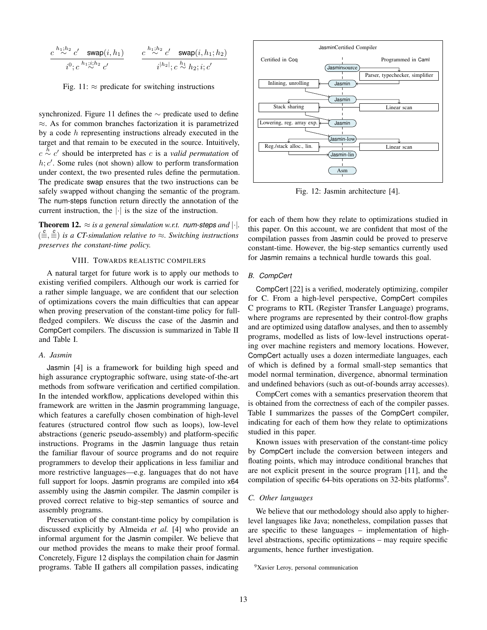$$
\frac{c^{h_1;h_2}c' \text{ swap}(i,h_1)}{i^0;c^{h_1;1,h_2}c'} \qquad \frac{c^{h_1;h_2}c' \text{ swap}(i,h_1;h_2)}{i^{|h_2|};c \stackrel{h_1}{\sim} h_2; i;c'}
$$

Fig. 11:  $\approx$  predicate for switching instructions

synchronized. Figure 11 defines the  $\sim$  predicate used to define ≈. As for common branches factorization it is parametrized by a code  $h$  representing instructions already executed in the target and that remain to be executed in the source. Intuitively,  $c \stackrel{h}{\sim} c'$  should be interpreted has c is a *valid permutation* of  $h; c'$ . Some rules (not shown) allow to perform transformation under context, the two presented rules define the permutation. The predicate swap ensures that the two instructions can be safely swapped without changing the semantic of the program. The num-steps function return directly the annotation of the current instruction, the  $|\cdot|$  is the size of the instruction.

**Theorem 12.**  $\approx$  *is a general simulation w.r.t. num-steps and*  $|\cdot|$ *.* ( *c* ≡, *c* ≡) *is a CT-simulation relative to* ≈*. Switching instructions preserves the constant-time policy.*

# VIII. TOWARDS REALISTIC COMPILERS

A natural target for future work is to apply our methods to existing verified compilers. Although our work is carried for a rather simple language, we are confident that our selection of optimizations covers the main difficulties that can appear when proving preservation of the constant-time policy for fullfledged compilers. We discuss the case of the Jasmin and CompCert compilers. The discussion is summarized in Table II and Table I.

#### *A. Jasmin*

Jasmin [4] is a framework for building high speed and high assurance cryptographic software, using state-of-the-art methods from software verification and certified compilation. In the intended workflow, applications developed within this framework are written in the Jasmin programming language, which features a carefully chosen combination of high-level features (structured control flow such as loops), low-level abstractions (generic pseudo-assembly) and platform-specific instructions. Programs in the Jasmin language thus retain the familiar flavour of source programs and do not require programmers to develop their applications in less familiar and more restrictive languages—e.g. languages that do not have full support for loops. Jasmin programs are compiled into x64 assembly using the Jasmin compiler. The Jasmin compiler is proved correct relative to big-step semantics of source and assembly programs.

Preservation of the constant-time policy by compilation is discussed explicitly by Almeida *et al.* [4] who provide an informal argument for the Jasmin compiler. We believe that our method provides the means to make their proof formal. Concretely, Figure 12 displays the compilation chain for Jasmin programs. Table II gathers all compilation passes, indicating



Fig. 12: Jasmin architecture [4].

for each of them how they relate to optimizations studied in this paper. On this account, we are confident that most of the compilation passes from Jasmin could be proved to preserve constant-time. However, the big-step semantics currently used for Jasmin remains a technical hurdle towards this goal.

#### *B. CompCert*

CompCert [22] is a verified, moderately optimizing, compiler for C. From a high-level perspective, CompCert compiles C programs to RTL (Register Transfer Language) programs, where programs are represented by their control-flow graphs and are optimized using dataflow analyses, and then to assembly programs, modelled as lists of low-level instructions operating over machine registers and memory locations. However, CompCert actually uses a dozen intermediate languages, each of which is defined by a formal small-step semantics that model normal termination, divergence, abnormal termination and undefined behaviors (such as out-of-bounds array accesses).

CompCert comes with a semantics preservation theorem that is obtained from the correctness of each of the compiler passes. Table I summarizes the passes of the CompCert compiler, indicating for each of them how they relate to optimizations studied in this paper.

Known issues with preservation of the constant-time policy by CompCert include the conversion between integers and floating points, which may introduce conditional branches that are not explicit present in the source program [11], and the compilation of specific 64-bits operations on 32-bits platforms<sup>9</sup>.

### *C. Other languages*

We believe that our methodology should also apply to higherlevel languages like Java; nonetheless, compilation passes that are specific to these languages – implementation of highlevel abstractions, specific optimizations – may require specific arguments, hence further investigation.

```
<sup>9</sup>Xavier Leroy, personal communication
```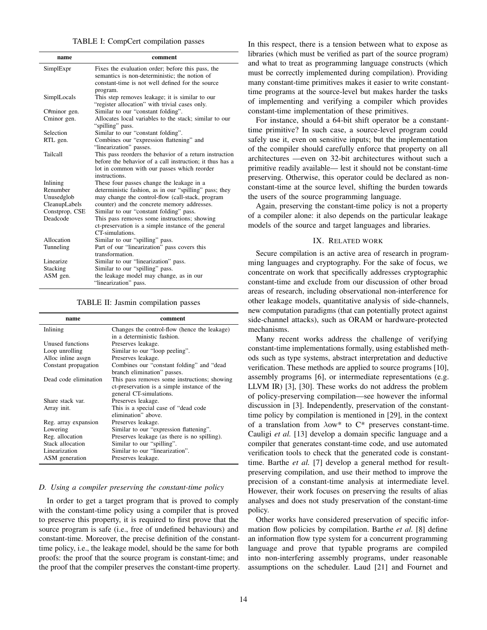| TABLE I: CompCert compilation passes |  |  |  |  |  |
|--------------------------------------|--|--|--|--|--|
|--------------------------------------|--|--|--|--|--|

| name           | comment                                                  |  |  |
|----------------|----------------------------------------------------------|--|--|
| SimplExpr      | Fixes the evaluation order; before this pass, the        |  |  |
|                | semantics is non-deterministic; the notion of            |  |  |
|                | constant-time is not well defined for the source         |  |  |
|                | program.                                                 |  |  |
| SimplLocals    | This step removes leakage; it is similar to our          |  |  |
|                | "register allocation" with trivial cases only.           |  |  |
| C#minor gen.   | Similar to our "constant folding".                       |  |  |
| Cminor gen.    | Allocates local variables to the stack; similar to our   |  |  |
|                | "spilling" pass.                                         |  |  |
| Selection      | Similar to our "constant folding".                       |  |  |
| RTL gen.       | Combines our "expression flattening" and                 |  |  |
|                | "linearization" passes.                                  |  |  |
| Tailcall       | This pass reorders the behavior of a return instruction  |  |  |
|                | before the behavior of a call instruction; it thus has a |  |  |
|                | lot in common with our passes which reorder              |  |  |
|                | instructions.                                            |  |  |
| Inlining       | These four passes change the leakage in a                |  |  |
| Renumber       | deterministic fashion, as in our "spilling" pass; they   |  |  |
| Unusedglob     | may change the control-flow (call-stack, program         |  |  |
| CleanupLabels  | counter) and the concrete memory addresses.              |  |  |
| Constprop, CSE | Similar to our "constant folding" pass.                  |  |  |
| Deadcode       | This pass removes some instructions; showing             |  |  |
|                | ct-preservation is a simple instance of the general      |  |  |
|                | CT-simulations.                                          |  |  |
| Allocation     | Similar to our "spilling" pass.                          |  |  |
| Tunneling      | Part of our "linearization" pass covers this             |  |  |
|                | transformation.                                          |  |  |
| Linearize      | Similar to our "linearization" pass.                     |  |  |
| Stacking       | Similar to our "spilling" pass.                          |  |  |
| ASM gen.       | the leakage model may change, as in our                  |  |  |
|                | "linearization" pass.                                    |  |  |

## TABLE II: Jasmin compilation passes

| name                  | comment                                      |  |  |  |
|-----------------------|----------------------------------------------|--|--|--|
| Inlining              | Changes the control-flow (hence the leakage) |  |  |  |
|                       | in a deterministic fashion.                  |  |  |  |
| Unused functions      | Preserves leakage.                           |  |  |  |
| Loop unrolling        | Similar to our "loop peeling".               |  |  |  |
| Alloc inline assgn    | Preserves leakage.                           |  |  |  |
| Constant propagation  | Combines our "constant folding" and "dead"   |  |  |  |
|                       | branch elimination" passes.                  |  |  |  |
| Dead code elimination | This pass removes some instructions; showing |  |  |  |
|                       | ct-preservation is a simple instance of the  |  |  |  |
|                       | general CT-simulations.                      |  |  |  |
| Share stack var.      | Preserves leakage.                           |  |  |  |
| Array init.           | This is a special case of "dead code"        |  |  |  |
|                       | elimination" above.                          |  |  |  |
| Reg. array expansion  | Preserves leakage.                           |  |  |  |
| Lowering              | Similar to our "expression flattening".      |  |  |  |
| Reg. allocation       | Preserves leakage (as there is no spilling). |  |  |  |
| Stack allocation      | Similar to our "spilling".                   |  |  |  |
| Linearization         | Similar to our "linearization".              |  |  |  |
| ASM generation        | Preserves leakage.                           |  |  |  |

#### *D. Using a compiler preserving the constant-time policy*

In order to get a target program that is proved to comply with the constant-time policy using a compiler that is proved to preserve this property, it is required to first prove that the source program is safe (i.e., free of undefined behaviours) and constant-time. Moreover, the precise definition of the constanttime policy, i.e., the leakage model, should be the same for both proofs: the proof that the source program is constant-time; and the proof that the compiler preserves the constant-time property.

In this respect, there is a tension between what to expose as libraries (which must be verified as part of the source program) and what to treat as programming language constructs (which must be correctly implemented during compilation). Providing many constant-time primitives makes it easier to write constanttime programs at the source-level but makes harder the tasks of implementing and verifying a compiler which provides constant-time implementation of these primitives.

For instance, should a 64-bit shift operator be a constanttime primitive? In such case, a source-level program could safely use it, even on sensitive inputs; but the implementation of the compiler should carefully enforce that property on all architectures —even on 32-bit architectures without such a primitive readily available— lest it should not be constant-time preserving. Otherwise, this operator could be declared as nonconstant-time at the source level, shifting the burden towards the users of the source programming language.

Again, preserving the constant-time policy is not a property of a compiler alone: it also depends on the particular leakage models of the source and target languages and libraries.

#### IX. RELATED WORK

Secure compilation is an active area of research in programming languages and cryptography. For the sake of focus, we concentrate on work that specifically addresses cryptographic constant-time and exclude from our discussion of other broad areas of research, including observational non-interference for other leakage models, quantitative analysis of side-channels, new computation paradigms (that can potentially protect against side-channel attacks), such as ORAM or hardware-protected mechanisms.

Many recent works address the challenge of verifying constant-time implementations formally, using established methods such as type systems, abstract interpretation and deductive verification. These methods are applied to source programs [10], assembly programs [6], or intermediate representations (e.g. LLVM IR) [3], [30]. These works do not address the problem of policy-preserving compilation—see however the informal discussion in [3]. Independently, preservation of the constanttime policy by compilation is mentioned in [29], in the context of a translation from  $\lambda$ ow\* to C\* preserves constant-time. Cauligi *et al.* [13] develop a domain specific language and a compiler that generates constant-time code, and use automated verification tools to check that the generated code is constanttime. Barthe *et al.* [7] develop a general method for resultpreserving compilation, and use their method to improve the precision of a constant-time analysis at intermediate level. However, their work focuses on preserving the results of alias analyses and does not study preservation of the constant-time policy.

Other works have considered preservation of specific information flow policies by compilation. Barthe *et al.* [8] define an information flow type system for a concurrent programming language and prove that typable programs are compiled into non-interfering assembly programs, under reasonable assumptions on the scheduler. Laud [21] and Fournet and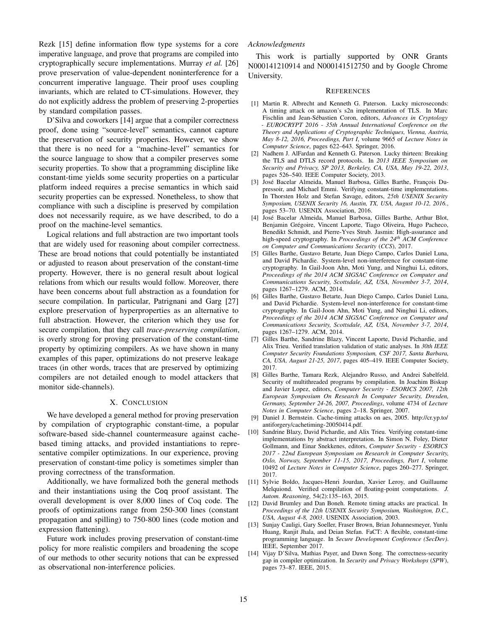Rezk [15] define information flow type systems for a core imperative language, and prove that programs are compiled into cryptographically secure implementations. Murray *et al.* [26] prove preservation of value-dependent noninterference for a concurrent imperative language. Their proof uses coupling invariants, which are related to CT-simulations. However, they do not explicitly address the problem of preserving 2-properties by standard compilation passes.

D'Silva and coworkers [14] argue that a compiler correctness proof, done using "source-level" semantics, cannot capture the preservation of security properties. However, we show that there is no need for a "machine-level" semantics for the source language to show that a compiler preserves some security properties. To show that a programming discipline like constant-time yields some security properties on a particular platform indeed requires a precise semantics in which said security properties can be expressed. Nonetheless, to show that compliance with such a discipline is preserved by compilation does not necessarily require, as we have described, to do a proof on the machine-level semantics.

Logical relations and full abstraction are two important tools that are widely used for reasoning about compiler correctness. These are broad notions that could potentially be instantiated or adjusted to reason about preservation of the constant-time property. However, there is no general result about logical relations from which our results would follow. Moreover, there have been concerns about full abstraction as a foundation for secure compilation. In particular, Patrignani and Garg [27] explore preservation of hyperproperties as an alternative to full abstraction. However, the criterion which they use for secure compilation, that they call *trace-preserving compilation*, is overly strong for proving preservation of the constant-time property by optimizing compilers. As we have shown in many examples of this paper, optimizations do not preserve leakage traces (in other words, traces that are preserved by optimizing compilers are not detailed enough to model attackers that monitor side-channels).

## X. CONCLUSION

We have developed a general method for proving preservation by compilation of cryptographic constant-time, a popular software-based side-channel countermeasure against cachebased timing attacks, and provided instantiations to representative compiler optimizations. In our experience, proving preservation of constant-time policy is sometimes simpler than proving correctness of the transformation.

Additionally, we have formalized both the general methods and their instantiations using the Coq proof assistant. The overall development is over 8,000 lines of Coq code. The proofs of optimizations range from 250-300 lines (constant propagation and spilling) to 750-800 lines (code motion and expression flattening).

Future work includes proving preservation of constant-time policy for more realistic compilers and broadening the scope of our methods to other security notions that can be expressed as observational non-interference policies.

# *Acknowledgments*

This work is partially supported by ONR Grants N000141210914 and N000141512750 and by Google Chrome University.

#### **REFERENCES**

- [1] Martin R. Albrecht and Kenneth G. Paterson. Lucky microseconds: A timing attack on amazon's s2n implementation of TLS. In Marc Fischlin and Jean-Sébastien Coron, editors, *Advances in Cryptology - EUROCRYPT 2016 - 35th Annual International Conference on the Theory and Applications of Cryptographic Techniques, Vienna, Austria, May 8-12, 2016, Proceedings, Part I*, volume 9665 of *Lecture Notes in Computer Science*, pages 622–643. Springer, 2016.
- [2] Nadhem J. AlFardan and Kenneth G. Paterson. Lucky thirteen: Breaking the TLS and DTLS record protocols. In *2013 IEEE Symposium on Security and Privacy, SP 2013, Berkeley, CA, USA, May 19-22, 2013*, pages 526–540. IEEE Computer Society, 2013.
- [3] José Bacelar Almeida, Manuel Barbosa, Gilles Barthe, François Dupressoir, and Michael Emmi. Verifying constant-time implementations. In Thorsten Holz and Stefan Savage, editors, *25th USENIX Security Symposium, USENIX Security 16, Austin, TX, USA, August 10-12, 2016.*, pages 53–70. USENIX Association, 2016.
- [4] José Bacelar Almeida, Manuel Barbosa, Gilles Barthe, Arthur Blot, Benjamin Grégoire, Vincent Laporte, Tiago Oliveira, Hugo Pacheco, Benedikt Schmidt, and Pierre-Yves Strub. Jasmin: High-assurance and high-speed cryptography. In *Proceedings of the 24th ACM Conference on Computer and Communications Security* (*CCS*), 2017.
- [5] Gilles Barthe, Gustavo Betarte, Juan Diego Campo, Carlos Daniel Luna, and David Pichardie. System-level non-interference for constant-time cryptography. In Gail-Joon Ahn, Moti Yung, and Ninghui Li, editors, *Proceedings of the 2014 ACM SIGSAC Conference on Computer and Communications Security, Scottsdale, AZ, USA, November 3-7, 2014*, pages 1267–1279. ACM, 2014.
- [6] Gilles Barthe, Gustavo Betarte, Juan Diego Campo, Carlos Daniel Luna, and David Pichardie. System-level non-interference for constant-time cryptography. In Gail-Joon Ahn, Moti Yung, and Ninghui Li, editors, *Proceedings of the 2014 ACM SIGSAC Conference on Computer and Communications Security, Scottsdale, AZ, USA, November 3-7, 2014*, pages 1267–1279. ACM, 2014.
- [7] Gilles Barthe, Sandrine Blazy, Vincent Laporte, David Pichardie, and Alix Trieu. Verified translation validation of static analyses. In *30th IEEE Computer Security Foundations Symposium, CSF 2017, Santa Barbara, CA, USA, August 21-25, 2017*, pages 405–419. IEEE Computer Society, 2017.
- [8] Gilles Barthe, Tamara Rezk, Alejandro Russo, and Andrei Sabelfeld. Security of multithreaded programs by compilation. In Joachim Biskup and Javier Lopez, editors, *Computer Security - ESORICS 2007, 12th European Symposium On Research In Computer Security, Dresden, Germany, September 24-26, 2007, Proceedings*, volume 4734 of *Lecture Notes in Computer Science*, pages 2–18. Springer, 2007.
- [9] Daniel J. Bernstein. Cache-timing attacks on aes, 2005. http://cr.yp.to/ antiforgery/cachetiming-20050414.pdf.
- [10] Sandrine Blazy, David Pichardie, and Alix Trieu. Verifying constant-time implementations by abstract interpretation. In Simon N. Foley, Dieter Gollmann, and Einar Snekkenes, editors, *Computer Security - ESORICS 2017 - 22nd European Symposium on Research in Computer Security, Oslo, Norway, September 11-15, 2017, Proceedings, Part I*, volume 10492 of *Lecture Notes in Computer Science*, pages 260–277. Springer, 2017.
- [11] Sylvie Boldo, Jacques-Henri Jourdan, Xavier Leroy, and Guillaume Melquiond. Verified compilation of floating-point computations. *J. Autom. Reasoning*, 54(2):135–163, 2015.
- [12] David Brumley and Dan Boneh. Remote timing attacks are practical. In *Proceedings of the 12th USENIX Security Symposium, Washington, D.C., USA, August 4-8, 2003*. USENIX Association, 2003.
- [13] Sunjay Cauligi, Gary Soeller, Fraser Brown, Brian Johannesmeyer, Yunlu Huang, Ranjit Jhala, and Deian Stefan. FaCT: A flexible, constant-time programming language. In *Secure Development Conference (SecDev)*. IEEE, September 2017.
- [14] Vijay D'Silva, Mathias Payer, and Dawn Song. The correctness-security gap in compiler optimization. In *Security and Privacy Workshops* (*SPW*), pages 73–87. IEEE, 2015.